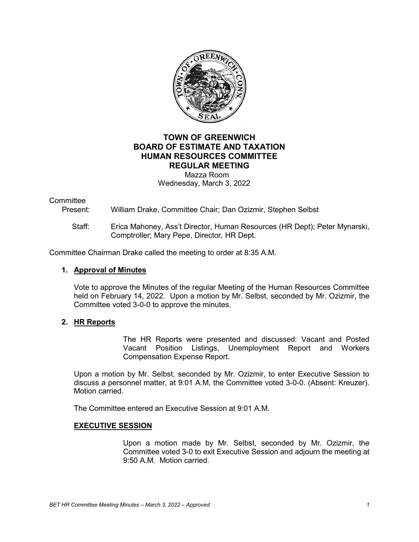

# **TOWN OF GREENWICH BOARD OF ESTIMATE AND TAXATION HUMAN RESOURCES COMMITTEE REGULAR MEETING** Mazza Room

Wednesday, March 3, 2022

### **Committee**

Present: William Drake, Committee Chair; Dan Ozizmir, Stephen Selbst

## Staff: Erica Mahoney, Ass't Director, Human Resources (HR Dept); Peter Mynarski, Comptroller; Mary Pepe, Director, HR Dept.

Committee Chairman Drake called the meeting to order at 8:35 A.M.

#### **1. Approval of Minutes**

Vote to approve the Minutes of the regular Meeting of the Human Resources Committee held on February 14, 2022. Upon a motion by Mr. Selbst, seconded by Mr. Ozizmir, the Committee voted 3-0-0 to approve the minutes.

## **2. HR Reports**

The HR Reports were presented and discussed: Vacant and Posted Vacant Position Listings, Unemployment Report and Workers Compensation Expense Report.

Upon a motion by Mr. Selbst, seconded by Mr. Ozizmir, to enter Executive Session to discuss a personnel matter, at 9:01 A.M, the Committee voted 3-0-0. (Absent: Kreuzer). Motion carried.

The Committee entered an Executive Session at 9:01 A.M.

#### **EXECUTIVE SESSION**

Upon a motion made by Mr. Selbst, seconded by Mr. Ozizmir, the Committee voted 3-0 to exit Executive Session and adjourn the meeting at 9:50 A.M. Motion carried.